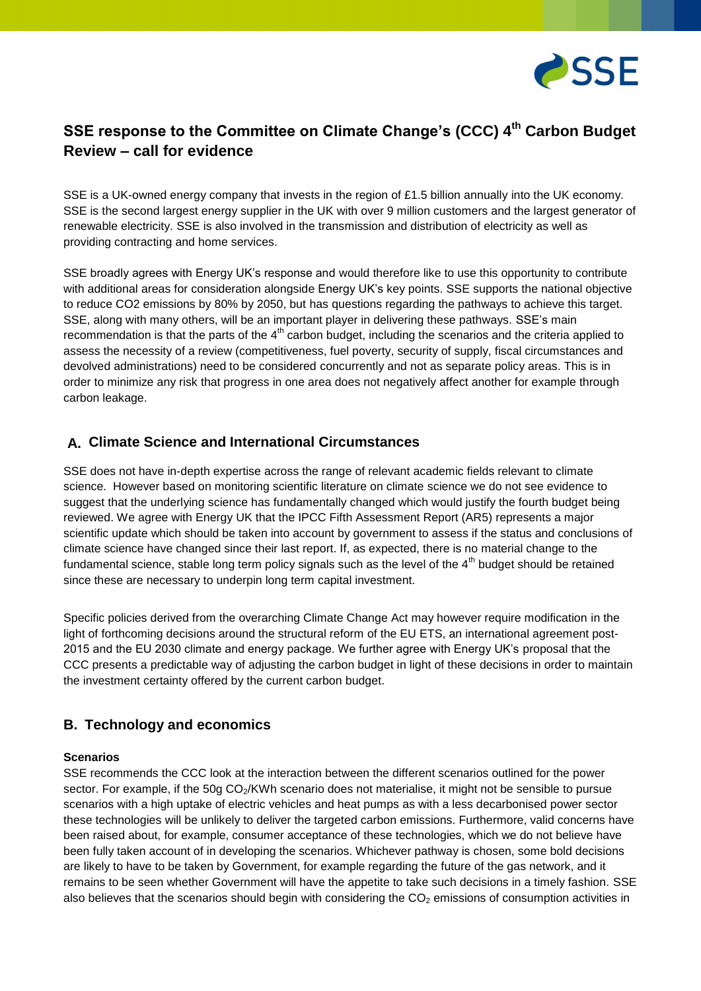

# **SSE response to the Committee on Climate Change's (CCC) 4 th Carbon Budget Review – call for evidence**

SSE is a UK-owned energy company that invests in the region of £1.5 billion annually into the UK economy. SSE is the second largest energy supplier in the UK with over 9 million customers and the largest generator of renewable electricity. SSE is also involved in the transmission and distribution of electricity as well as providing contracting and home services.

SSE broadly agrees with Energy UK's response and would therefore like to use this opportunity to contribute with additional areas for consideration alongside Energy UK's key points. SSE supports the national objective to reduce CO2 emissions by 80% by 2050, but has questions regarding the pathways to achieve this target. SSE, along with many others, will be an important player in delivering these pathways. SSE's main recommendation is that the parts of the  $4<sup>th</sup>$  carbon budget, including the scenarios and the criteria applied to assess the necessity of a review (competitiveness, fuel poverty, security of supply, fiscal circumstances and devolved administrations) need to be considered concurrently and not as separate policy areas. This is in order to minimize any risk that progress in one area does not negatively affect another for example through carbon leakage.

### **A. Climate Science and International Circumstances**

SSE does not have in-depth expertise across the range of relevant academic fields relevant to climate science. However based on monitoring scientific literature on climate science we do not see evidence to suggest that the underlying science has fundamentally changed which would justify the fourth budget being reviewed. We agree with Energy UK that the IPCC Fifth Assessment Report (AR5) represents a major scientific update which should be taken into account by government to assess if the status and conclusions of climate science have changed since their last report. If, as expected, there is no material change to the fundamental science, stable long term policy signals such as the level of the 4<sup>th</sup> budget should be retained since these are necessary to underpin long term capital investment.

Specific policies derived from the overarching Climate Change Act may however require modification in the light of forthcoming decisions around the structural reform of the EU ETS, an international agreement post-2015 and the EU 2030 climate and energy package. We further agree with Energy UK's proposal that the CCC presents a predictable way of adjusting the carbon budget in light of these decisions in order to maintain the investment certainty offered by the current carbon budget.

### **B. Technology and economics**

#### **Scenarios**

SSE recommends the CCC look at the interaction between the different scenarios outlined for the power sector. For example, if the  $50g \text{CO}_2/\text{KWh}$  scenario does not materialise, it might not be sensible to pursue scenarios with a high uptake of electric vehicles and heat pumps as with a less decarbonised power sector these technologies will be unlikely to deliver the targeted carbon emissions. Furthermore, valid concerns have been raised about, for example, consumer acceptance of these technologies, which we do not believe have been fully taken account of in developing the scenarios. Whichever pathway is chosen, some bold decisions are likely to have to be taken by Government, for example regarding the future of the gas network, and it remains to be seen whether Government will have the appetite to take such decisions in a timely fashion. SSE also believes that the scenarios should begin with considering the  $CO<sub>2</sub>$  emissions of consumption activities in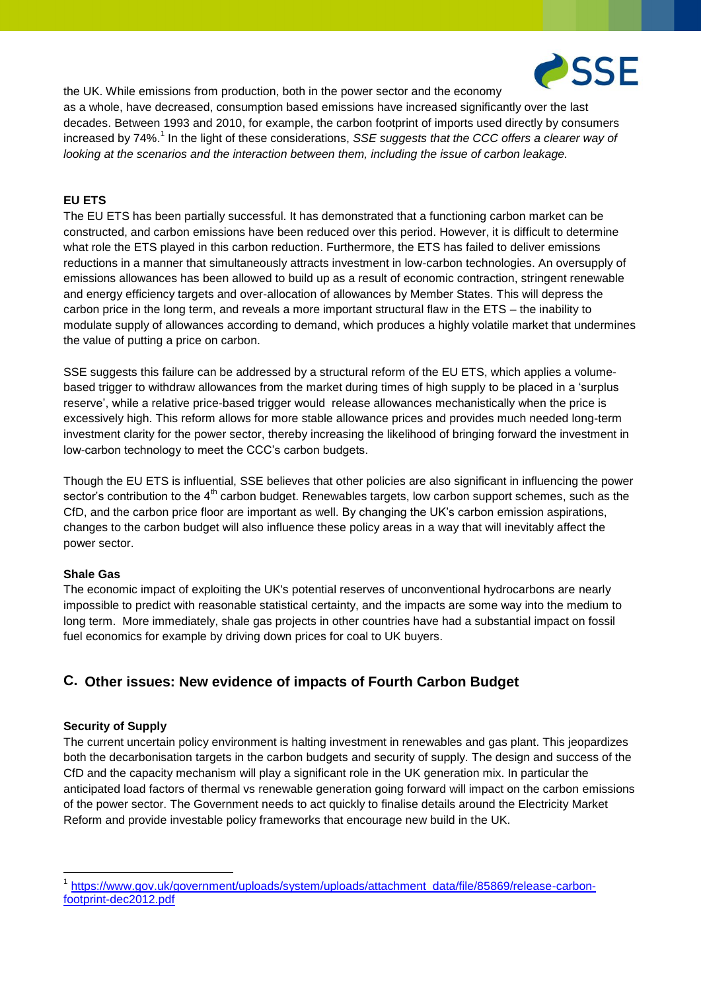

the UK. While emissions from production, both in the power sector and the economy

as a whole, have decreased, consumption based emissions have increased significantly over the last decades. Between 1993 and 2010, for example, the carbon footprint of imports used directly by consumers increased by 74%.<sup>1</sup> In the light of these considerations, *SSE suggests that the CCC offers a clearer way of looking at the scenarios and the interaction between them, including the issue of carbon leakage.* 

### **EU ETS**

The EU ETS has been partially successful. It has demonstrated that a functioning carbon market can be constructed, and carbon emissions have been reduced over this period. However, it is difficult to determine what role the ETS played in this carbon reduction. Furthermore, the ETS has failed to deliver emissions reductions in a manner that simultaneously attracts investment in low-carbon technologies. An oversupply of emissions allowances has been allowed to build up as a result of economic contraction, stringent renewable and energy efficiency targets and over-allocation of allowances by Member States. This will depress the carbon price in the long term, and reveals a more important structural flaw in the ETS – the inability to modulate supply of allowances according to demand, which produces a highly volatile market that undermines the value of putting a price on carbon.

SSE suggests this failure can be addressed by a structural reform of the EU ETS, which applies a volumebased trigger to withdraw allowances from the market during times of high supply to be placed in a 'surplus reserve', while a relative price-based trigger would release allowances mechanistically when the price is excessively high. This reform allows for more stable allowance prices and provides much needed long-term investment clarity for the power sector, thereby increasing the likelihood of bringing forward the investment in low-carbon technology to meet the CCC's carbon budgets.

Though the EU ETS is influential, SSE believes that other policies are also significant in influencing the power sector's contribution to the 4<sup>th</sup> carbon budget. Renewables targets, low carbon support schemes, such as the CfD, and the carbon price floor are important as well. By changing the UK's carbon emission aspirations, changes to the carbon budget will also influence these policy areas in a way that will inevitably affect the power sector.

#### **Shale Gas**

The economic impact of exploiting the UK's potential reserves of unconventional hydrocarbons are nearly impossible to predict with reasonable statistical certainty, and the impacts are some way into the medium to long term. More immediately, shale gas projects in other countries have had a substantial impact on fossil fuel economics for example by driving down prices for coal to UK buyers.

## **C. Other issues: New evidence of impacts of Fourth Carbon Budget**

#### **Security of Supply**

<u>.</u>

The current uncertain policy environment is halting investment in renewables and gas plant. This jeopardizes both the decarbonisation targets in the carbon budgets and security of supply. The design and success of the CfD and the capacity mechanism will play a significant role in the UK generation mix. In particular the anticipated load factors of thermal vs renewable generation going forward will impact on the carbon emissions of the power sector. The Government needs to act quickly to finalise details around the Electricity Market Reform and provide investable policy frameworks that encourage new build in the UK.

<sup>&</sup>lt;sup>1</sup> [https://www.gov.uk/government/uploads/system/uploads/attachment\\_data/file/85869/release-carbon](https://www.gov.uk/government/uploads/system/uploads/attachment_data/file/85869/release-carbon-footprint-dec2012.pdf)[footprint-dec2012.pdf](https://www.gov.uk/government/uploads/system/uploads/attachment_data/file/85869/release-carbon-footprint-dec2012.pdf)